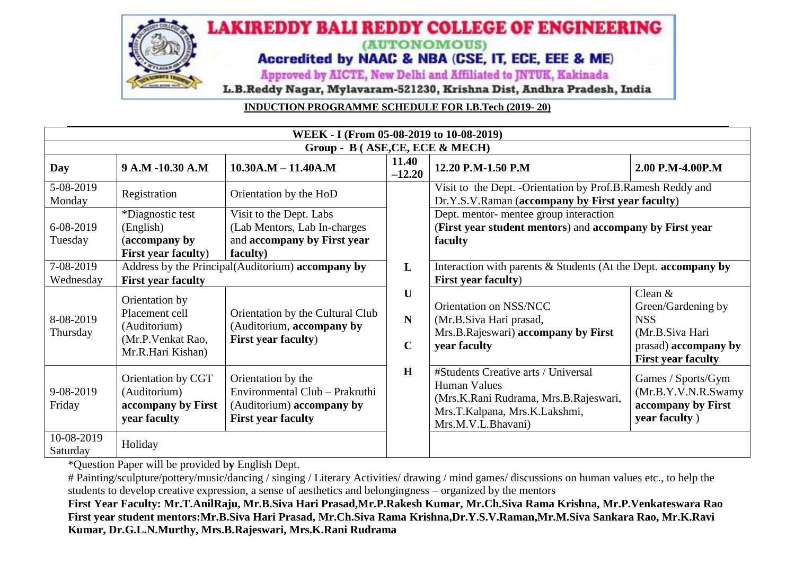

**INDUCTION PROGRAMME SCHEDULE FOR I.B.Tech (2019- 20)**

| WEEK - I (From 05-08-2019 to 10-08-2019) |                                                                                             |                                                                                                                |                            |                                                                                                                                                            |                                                                                                                       |  |  |  |
|------------------------------------------|---------------------------------------------------------------------------------------------|----------------------------------------------------------------------------------------------------------------|----------------------------|------------------------------------------------------------------------------------------------------------------------------------------------------------|-----------------------------------------------------------------------------------------------------------------------|--|--|--|
| Group - B (ASE, CE, ECE & MECH)          |                                                                                             |                                                                                                                |                            |                                                                                                                                                            |                                                                                                                       |  |  |  |
| Day                                      | 9 A.M -10.30 A.M                                                                            | $10.30A.M - 11.40A.M$                                                                                          | 11.40<br>$-12.20$          | 12.20 P.M-1.50 P.M                                                                                                                                         | 2.00 P.M-4.00P.M                                                                                                      |  |  |  |
| 5-08-2019<br>Monday                      | Registration                                                                                | Orientation by the HoD                                                                                         |                            | Visit to the Dept. - Orientation by Prof.B.Ramesh Reddy and<br>Dr.Y.S.V.Raman (accompany by First year faculty)                                            |                                                                                                                       |  |  |  |
| 6-08-2019<br>Tuesday                     | *Diagnostic test<br>(English)<br>(accompany by<br><b>First year faculty)</b>                | Visit to the Dept. Labs<br>(Lab Mentors, Lab In-charges<br>and accompany by First year<br>faculty)             |                            | Dept. mentor- mentee group interaction<br>(First year student mentors) and accompany by First year<br>faculty                                              |                                                                                                                       |  |  |  |
| 7-08-2019<br>Wednesday                   | Address by the Principal(Auditorium) accompany by<br><b>First year faculty</b>              |                                                                                                                | L                          | Interaction with parents & Students (At the Dept. accompany by<br><b>First year faculty)</b>                                                               |                                                                                                                       |  |  |  |
| 8-08-2019<br>Thursday                    | Orientation by<br>Placement cell<br>(Auditorium)<br>(Mr.P. Venkat Rao,<br>Mr.R.Hari Kishan) | Orientation by the Cultural Club<br>(Auditorium, accompany by<br><b>First year faculty)</b>                    | U<br>N<br>$\mathbf C$<br>H | Orientation on NSS/NCC<br>(Mr.B.Siva Hari prasad,<br>Mrs.B.Rajeswari) accompany by First<br>year faculty                                                   | Clean $&$<br>Green/Gardening by<br><b>NSS</b><br>(Mr.B.Siva Hari<br>prasad) accompany by<br><b>First year faculty</b> |  |  |  |
| 9-08-2019<br>Friday                      | Orientation by CGT<br>(Auditorium)<br>accompany by First<br>year faculty                    | Orientation by the<br>Environmental Club - Prakruthi<br>(Auditorium) accompany by<br><b>First year faculty</b> |                            | #Students Creative arts / Universal<br><b>Human Values</b><br>(Mrs.K.Rani Rudrama, Mrs.B.Rajeswari,<br>Mrs.T.Kalpana, Mrs.K.Lakshmi,<br>Mrs.M.V.L.Bhavani) | Games / Sports/Gym<br>(Mr.B.Y.V.N.R.Swamy<br>accompany by First<br>year faculty)                                      |  |  |  |
| 10-08-2019<br>Saturday                   | Holiday                                                                                     |                                                                                                                |                            |                                                                                                                                                            |                                                                                                                       |  |  |  |

\*Question Paper will be provided b**y** English Dept.

# Painting/sculpture/pottery/music/dancing / singing / Literary Activities/ drawing / mind games/ discussions on human values etc., to help the students to develop creative expression, a sense of aesthetics and belongingness – organized by the mentors

**First Year Faculty: Mr.T.AnilRaju, Mr.B.Siva Hari Prasad,Mr.P.Rakesh Kumar, Mr.Ch.Siva Rama Krishna, Mr.P.Venkateswara Rao First year student mentors:Mr.B.Siva Hari Prasad, Mr.Ch.Siva Rama Krishna,Dr.Y.S.V.Raman,Mr.M.Siva Sankara Rao, Mr.K.Ravi Kumar, Dr.G.L.N.Murthy, Mrs.B.Rajeswari, Mrs.K.Rani Rudrama**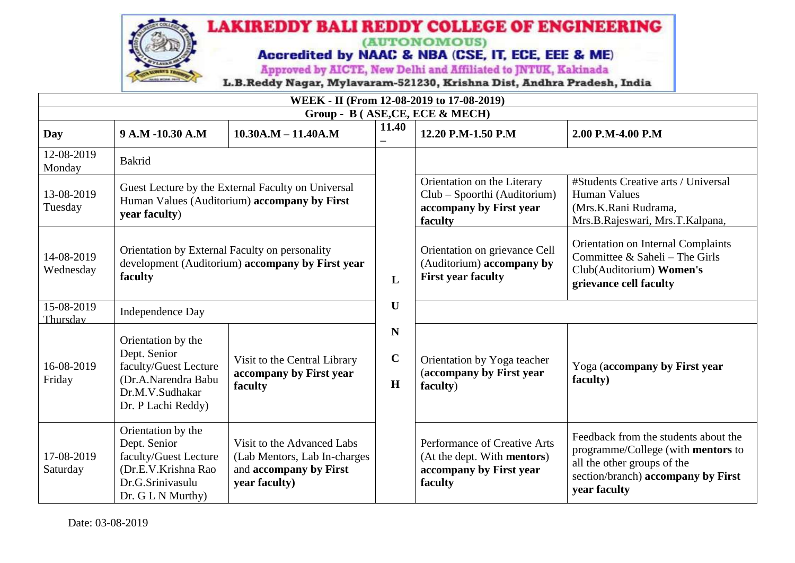

| WEEK - II (From 12-08-2019 to 17-08-2019) |                                                                                                                               |                                                                                                       |                       |                                                                                                   |                                                                                                                                                                 |  |  |  |  |
|-------------------------------------------|-------------------------------------------------------------------------------------------------------------------------------|-------------------------------------------------------------------------------------------------------|-----------------------|---------------------------------------------------------------------------------------------------|-----------------------------------------------------------------------------------------------------------------------------------------------------------------|--|--|--|--|
| Group - B (ASE, CE, ECE & MECH)           |                                                                                                                               |                                                                                                       |                       |                                                                                                   |                                                                                                                                                                 |  |  |  |  |
| Day                                       | 9 A.M -10.30 A.M                                                                                                              | $10.30A.M - 11.40A.M$                                                                                 | 11.40                 | 12.20 P.M-1.50 P.M                                                                                | 2.00 P.M-4.00 P.M                                                                                                                                               |  |  |  |  |
| 12-08-2019<br>Monday                      | <b>Bakrid</b>                                                                                                                 |                                                                                                       |                       |                                                                                                   |                                                                                                                                                                 |  |  |  |  |
| 13-08-2019<br>Tuesday                     | Guest Lecture by the External Faculty on Universal<br>Human Values (Auditorium) accompany by First<br>year faculty)           |                                                                                                       |                       | Orientation on the Literary<br>Club - Spoorthi (Auditorium)<br>accompany by First year<br>faculty | #Students Creative arts / Universal<br><b>Human Values</b><br>(Mrs.K.Rani Rudrama,<br>Mrs.B.Rajeswari, Mrs.T.Kalpana,                                           |  |  |  |  |
| 14-08-2019<br>Wednesday                   | Orientation by External Faculty on personality<br>development (Auditorium) accompany by First year<br>faculty                 |                                                                                                       | L                     | Orientation on grievance Cell<br>(Auditorium) accompany by<br><b>First year faculty</b>           | Orientation on Internal Complaints<br>Committee & Saheli – The Girls<br>Club(Auditorium) Women's<br>grievance cell faculty                                      |  |  |  |  |
| 15-08-2019<br>Thursday                    | <b>Independence Day</b>                                                                                                       |                                                                                                       | U                     |                                                                                                   |                                                                                                                                                                 |  |  |  |  |
| 16-08-2019<br>Friday                      | Orientation by the<br>Dept. Senior<br>faculty/Guest Lecture<br>(Dr.A.Narendra Babu<br>Dr.M.V.Sudhakar<br>Dr. P Lachi Reddy)   | Visit to the Central Library<br>accompany by First year<br>faculty                                    | N<br>$\mathbf C$<br>H | Orientation by Yoga teacher<br>(accompany by First year<br>faculty)                               | Yoga (accompany by First year<br>faculty)                                                                                                                       |  |  |  |  |
| 17-08-2019<br>Saturday                    | Orientation by the<br>Dept. Senior<br>faculty/Guest Lecture<br>(Dr.E.V.Krishna Rao<br>Dr.G.Srinivasulu<br>$Dr. G L N$ Murthy) | Visit to the Advanced Labs<br>(Lab Mentors, Lab In-charges<br>and accompany by First<br>year faculty) |                       | Performance of Creative Arts<br>(At the dept. With mentors)<br>accompany by First year<br>faculty | Feedback from the students about the<br>programme/College (with mentors to<br>all the other groups of the<br>section/branch) accompany by First<br>year faculty |  |  |  |  |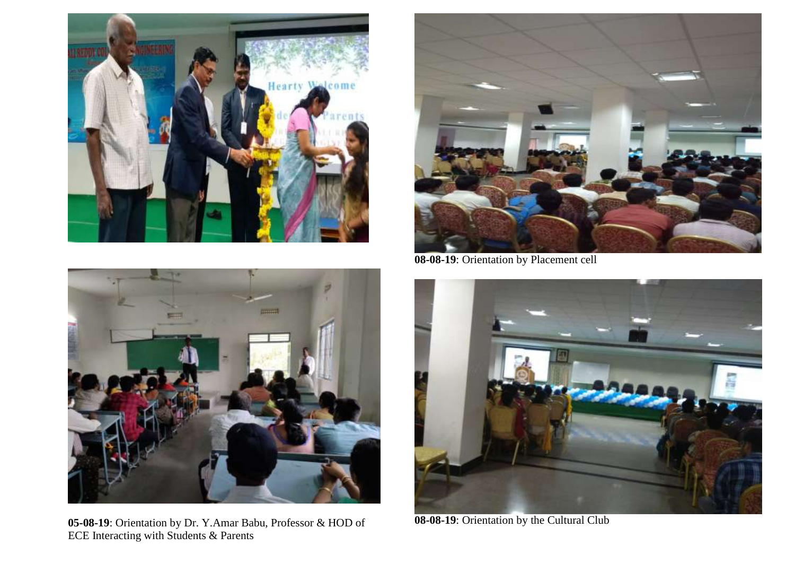



**08-08-19**: Orientation by Placement cell



**05-08-19**: Orientation by Dr. Y.Amar Babu, Professor & HOD of ECE Interacting with Students & Parents



**08-08-19**: Orientation by the Cultural Club